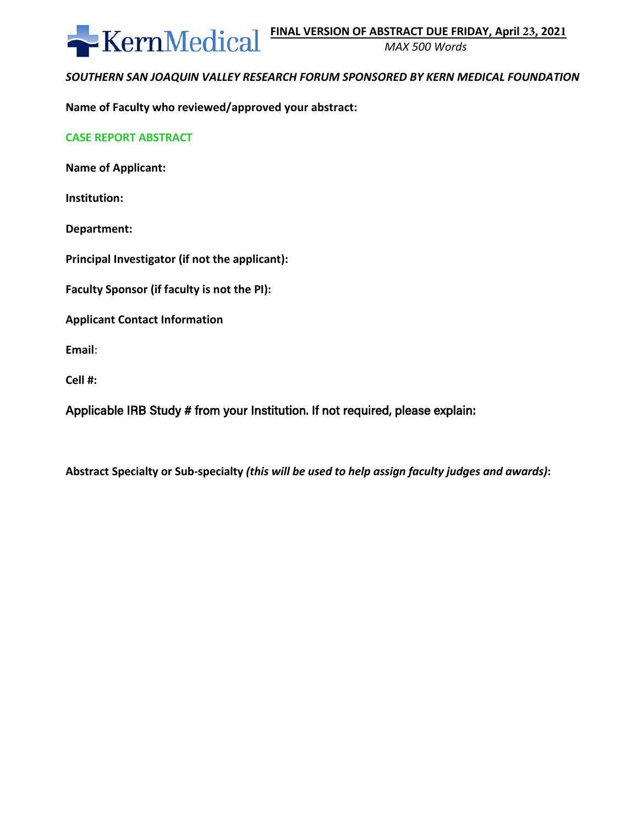

*MAX 500 Words* 

# *SOUTHERN SAN JOAQUIN VALLEY RESEARCH FORUM SPONSORED BY KERN MEDICAL FOUNDATION*

**Name of Faculty who reviewed/approved your abstract:** 

# **CASE REPORT ABSTRACT**

**Name of Applicant:** 

**Institution:** 

**Department:**

**Principal Investigator (if not the applicant):** 

**Faculty Sponsor (if faculty is not the PI):**

**Applicant Contact Information** 

**Email**:

**Cell #:**

Applicable IRB Study # from your Institution. If not required, please explain:

**Abstract Specialty or Sub-specialty** *(this will be used to help assign faculty judges and awards)***:**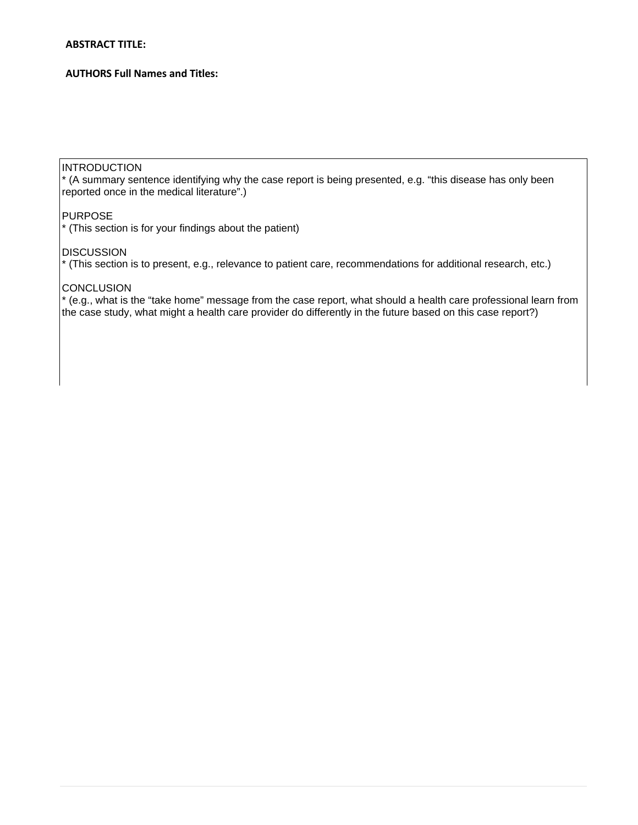#### **ABSTRACT TITLE:**

# **AUTHORS Full Names and Titles:**

# INTRODUCTION

\* (A summary sentence identifying why the case report is being presented, e.g. "this disease has only been reported once in the medical literature".)

# PURPOSE

\* (This section is for your findings about the patient)

# **DISCUSSION**

\* (This section is to present, e.g., relevance to patient care, recommendations for additional research, etc.)

### **CONCLUSION**

\* (e.g., what is the "take home" message from the case report, what should a health care professional learn from the case study, what might a health care provider do differently in the future based on this case report?)